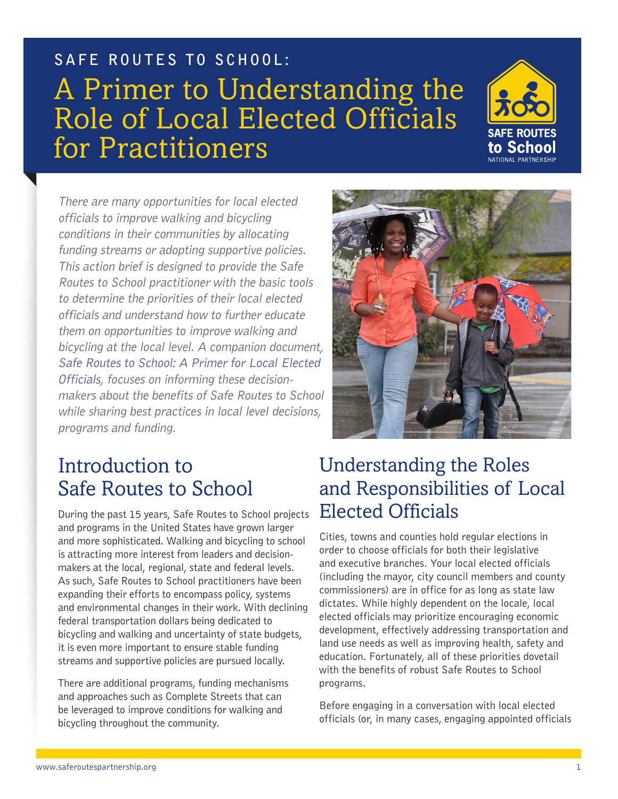

There are many opportunities for local elected officials to improve walking and bicycling conditions in their communities by allocating funding streams or adopting supportive policies. This action brief is designed to provide the Safe Routes to School practitioner with the basic tools to determine the priorities of their local elected officials and understand how to further educate them on opportunities to improve walking and bicycling at the local level. A companion document, [Safe Routes to School: A Primer for Local Elected](http://saferoutespartnership.org/sites/default/files/pdf/Primer-for-Local-Elected-Officials.pdf)  [Officials](http://saferoutespartnership.org/sites/default/files/pdf/Primer-for-Local-Elected-Officials.pdf), focuses on informing these decisionmakers about the benefits of Safe Routes to School while sharing best practices in local level decisions, programs and funding.



## Introduction to Safe Routes to School

During the past 15 years, Safe Routes to School projects and programs in the United States have grown larger and more sophisticated. Walking and bicycling to school is attracting more interest from leaders and decisionmakers at the local, regional, state and federal levels. As such, Safe Routes to School practitioners have been expanding their efforts to encompass policy, systems and environmental changes in their work. With declining federal transportation dollars being dedicated to bicycling and walking and uncertainty of state budgets, it is even more important to ensure stable funding streams and supportive policies are pursued locally.

There are additional programs, funding mechanisms and approaches such as Complete Streets that can be leveraged to improve conditions for walking and bicycling throughout the community.

## Understanding the Roles and Responsibilities of Local Elected Officials

Cities, towns and counties hold regular elections in order to choose officials for both their legislative and executive branches. Your local elected officials (including the mayor, city council members and county commissioners) are in office for as long as state law dictates. While highly dependent on the locale, local elected officials may prioritize encouraging economic development, effectively addressing transportation and land use needs as well as improving health, safety and education. Fortunately, all of these priorities dovetail with the benefits of robust Safe Routes to School programs.

Before engaging in a conversation with local elected officials (or, in many cases, engaging appointed officials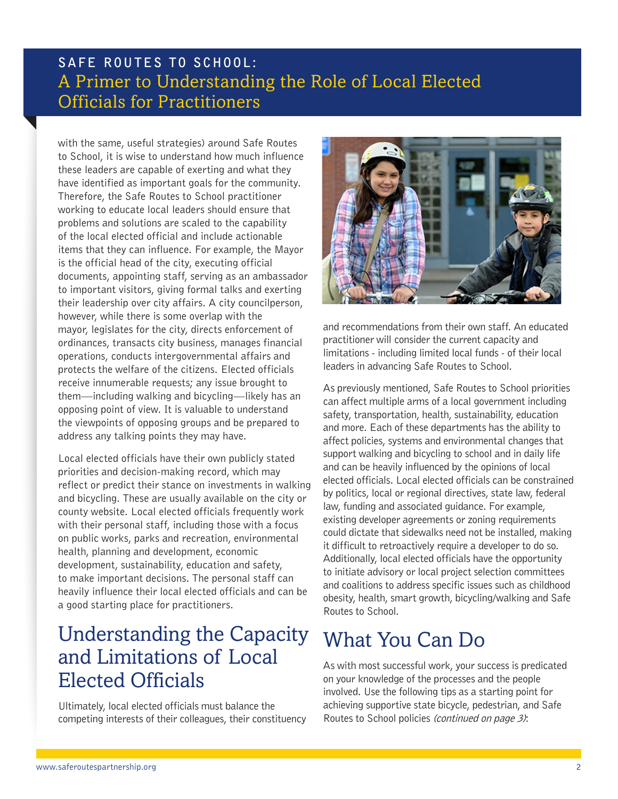with the same, useful strategies) around Safe Routes to School, it is wise to understand how much influence these leaders are capable of exerting and what they have identified as important goals for the community. Therefore, the Safe Routes to School practitioner working to educate local leaders should ensure that problems and solutions are scaled to the capability of the local elected official and include actionable items that they can influence. For example, the Mayor is the official head of the city, executing official documents, appointing staff, serving as an ambassador to important visitors, giving formal talks and exerting their leadership over city affairs. A city councilperson, however, while there is some overlap with the mayor, legislates for the city, directs enforcement of ordinances, transacts city business, manages financial operations, conducts intergovernmental affairs and protects the welfare of the citizens. Elected officials receive innumerable requests; any issue brought to them—including walking and bicycling—likely has an opposing point of view. It is valuable to understand the viewpoints of opposing groups and be prepared to address any talking points they may have.

Local elected officials have their own publicly stated priorities and decision-making record, which may reflect or predict their stance on investments in walking and bicycling. These are usually available on the city or county website. Local elected officials frequently work with their personal staff, including those with a focus on public works, parks and recreation, environmental health, planning and development, economic development, sustainability, education and safety, to make important decisions. The personal staff can heavily influence their local elected officials and can be a good starting place for practitioners.

## Understanding the Capacity and Limitations of Local Elected Officials

Ultimately, local elected officials must balance the competing interests of their colleagues, their constituency



and recommendations from their own staff. An educated practitioner will consider the current capacity and limitations - including limited local funds - of their local leaders in advancing Safe Routes to School.

As previously mentioned, Safe Routes to School priorities can affect multiple arms of a local government including safety, transportation, health, sustainability, education and more. Each of these departments has the ability to affect policies, systems and environmental changes that support walking and bicycling to school and in daily life and can be heavily influenced by the opinions of local elected officials. Local elected officials can be constrained by politics, local or regional directives, state law, federal law, funding and associated guidance. For example, existing developer agreements or zoning requirements could dictate that sidewalks need not be installed, making it difficult to retroactively require a developer to do so. Additionally, local elected officials have the opportunity to initiate advisory or local project selection committees and coalitions to address specific issues such as childhood obesity, health, smart growth, bicycling/walking and Safe Routes to School.

## What You Can Do

As with most successful work, your success is predicated on your knowledge of the processes and the people involved. Use the following tips as a starting point for achieving supportive state bicycle, pedestrian, and Safe Routes to School policies (continued on page 3):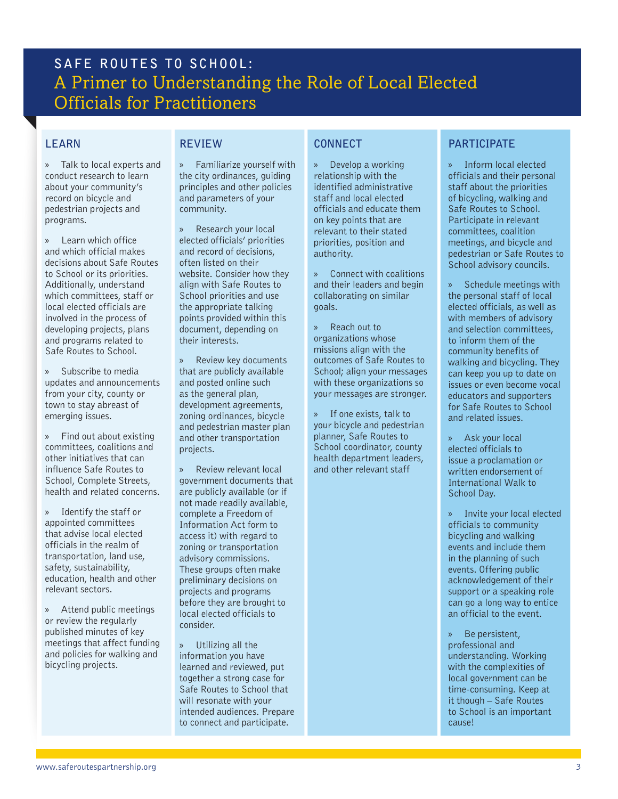#### **LEARN**

» Talk to local experts and conduct research to learn about your community's record on bicycle and pedestrian projects and programs.

» Learn which office and which official makes decisions about Safe Routes to School or its priorities. Additionally, understand which committees, staff or local elected officials are involved in the process of developing projects, plans and programs related to Safe Routes to School.

» Subscribe to media updates and announcements from your city, county or town to stay abreast of emerging issues.

» Find out about existing committees, coalitions and other initiatives that can influence Safe Routes to School, Complete Streets, health and related concerns.

» Identify the staff or appointed committees that advise local elected officials in the realm of transportation, land use, safety, sustainability, education, health and other relevant sectors.

» Attend public meetings or review the regularly published minutes of key meetings that affect funding and policies for walking and bicycling projects.

### **REVIEW**

» Familiarize yourself with the city ordinances, guiding principles and other policies and parameters of your community.

» Research your local elected officials' priorities and record of decisions, often listed on their website. Consider how they align with Safe Routes to School priorities and use the appropriate talking points provided within this document, depending on their interests.

» Review key documents that are publicly available and posted online such as the general plan, development agreements, zoning ordinances, bicycle and pedestrian master plan and other transportation projects.

» Review relevant local government documents that are publicly available (or if not made readily available, complete a Freedom of Information Act form to access it) with regard to zoning or transportation advisory commissions. These groups often make preliminary decisions on projects and programs before they are brought to local elected officials to consider.

» Utilizing all the information you have learned and reviewed, put together a strong case for Safe Routes to School that will resonate with your intended audiences. Prepare to connect and participate.

### **CONNECT**

» Develop a working relationship with the identified administrative staff and local elected officials and educate them on key points that are relevant to their stated priorities, position and authority.

» Connect with coalitions and their leaders and begin collaborating on similar goals.

» Reach out to organizations whose missions align with the outcomes of Safe Routes to School; align your messages with these organizations so your messages are stronger.

» If one exists, talk to your bicycle and pedestrian planner, Safe Routes to School coordinator, county health department leaders, and other relevant staff

### **PARTICIPATE**

» Inform local elected officials and their personal staff about the priorities of bicycling, walking and Safe Routes to School. Participate in relevant committees, coalition meetings, and bicycle and pedestrian or Safe Routes to School advisory councils.

» Schedule meetings with the personal staff of local elected officials, as well as with members of advisory and selection committees, to inform them of the community benefits of walking and bicycling. They can keep you up to date on issues or even become vocal educators and supporters for Safe Routes to School and related issues.

» Ask your local elected officials to issue a proclamation or written endorsement of International Walk to School Day.

» Invite your local elected officials to community bicycling and walking events and include them in the planning of such events. Offering public acknowledgement of their support or a speaking role can go a long way to entice an official to the event.

» Be persistent, professional and understanding. Working with the complexities of local government can be time-consuming. Keep at it though – Safe Routes to School is an important cause!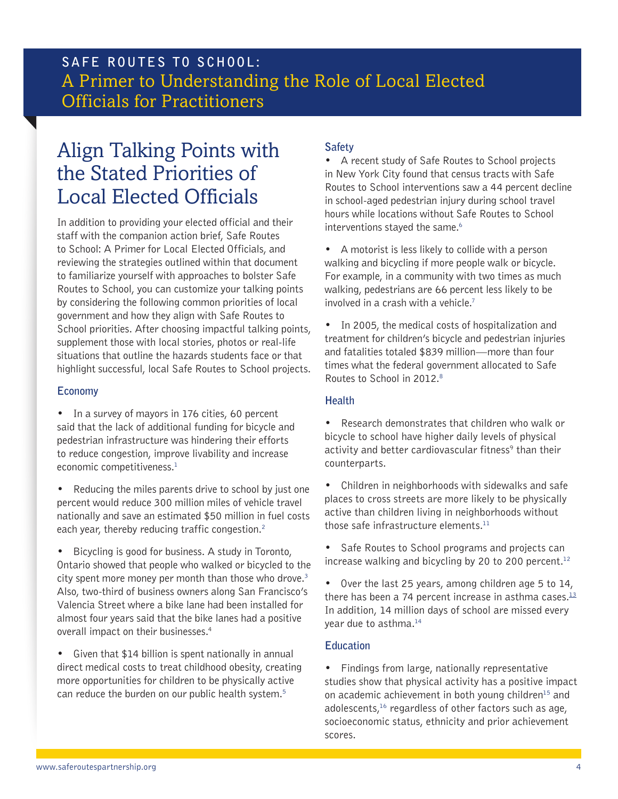## Align Talking Points with the Stated Priorities of Local Elected Officials

In addition to providing your elected official and their staff with the companion action brief, Safe Routes to School: A Primer for Local Elected Officials, and reviewing the strategies outlined within that document to familiarize yourself with approaches to bolster Safe Routes to School, you can customize your talking points by considering the following common priorities of local government and how they align with Safe Routes to School priorities. After choosing impactful talking points, supplement those with local stories, photos or real-life situations that outline the hazards students face or that highlight successful, local Safe Routes to School projects.

#### **Economy**

- In a survey of mayors in 176 cities, 60 percent said that the lack of additional funding for bicycle and pedestrian infrastructure was hindering their efforts to reduce congestion, improve livability and increase economic competitiveness.<sup>1</sup>
- Reducing the miles parents drive to school by just one percent would reduce 300 million miles of vehicle travel nationally and save an estimated \$50 million in fuel costs each year, thereby reducing traffic congestion.<sup>2</sup>
- • Bicycling is good for business. A study in Toronto, Ontario showed that people who walked or bicycled to the city spent more money per month than those who drove.<sup>[3](http://www.cleanairpartnership.org/pdf/bike-lanes-parking.pdf)</sup> Also, two-third of business owners along San Francisco's Valencia Street where a bike lane had been installed for almost four years said that the bike lanes had a positive overall impact on their businesses.4
- Given that \$14 billion is spent nationally in annual direct medical costs to treat childhood obesity, creating more opportunities for children to be physically active can reduce the burden on our public health system.<sup>5</sup>

### **Safety**

• A recent study of Safe Routes to School projects in New York City found that census tracts with Safe Routes to School interventions saw a 44 percent decline in school-aged pedestrian injury during school travel hours while locations without Safe Routes to School interventions stayed the same.<sup>[6](http://www.aap.org/en-us/about-the-aap/aap-press-room/pages/Implementing-Safe-Routes-to-School-is-Effective-in-Reducing-Pedestrian-Injuries.aspx%3Fnfstatus%3D401%26nftoken%3D00000000-0000-0000-0000-000000000000%26nfstatusdescription%3DERROR%253a%2BNo%2Blocal%2Btoken)</sup>

- • A motorist is less likely to collide with a person walking and bicycling if more people walk or bicycle. For example, in a community with two times as much walking, pedestrians are 66 percent less likely to be involved in a crash with a vehicle.[7](http://safetrec.berkeley.edu/newsletter/Spring04/JacobsenPaper.pdf)
- In 2005, the medical costs of hospitalization and treatment for children's bicycle and pedestrian injuries and fatalities totaled \$839 million—more than four times what the federal government allocated to Safe Routes to School in 2012.<sup>[8](http://www.cdc.gov/injury/wisqars/pdf/WISQARS_Cost_Methods-a.pdf)</sup>

#### **Health**

• Research demonstrates that children who walk or bicycle to school have higher daily levels of physical activity and better cardiovascular fitness<sup>9</sup> than their counterparts.

- Children in neighborhoods with sidewalks and safe places to cross streets are more likely to be physically active than children living in neighborhoods without those safe infrastructure elements[.11](http://www.saferoutespartnership.org/sites/default/files/pdf/Physical-activity-research-on-SRTS-5-12.pdf)
- Safe Routes to School programs and projects can increase walking and bicycling by 20 to 200 percent.<sup>[12](http://www.saferoutespartnership.org/sites/default/files/pdf/Physical-activity-research-on-SRTS-5-12.pdf)</sup>
- • Over the last 25 years, among children age 5 to 14, there has been a 74 percent increase in asthma cases. $13$ In addition, 14 million days of school are missed every year due to asthma[.14](http://www.cdc.gov/HealthyYouth/asthma/index.htm)

### **Education**

• Findings from large, nationally representative studies show that physical activity has a positive impact on academic achievement in both young children<sup>15</sup> and adolescents,<sup>[16](http://pediatrics.aappublications.org/content/117/4/1281.abstract)</sup> regardless of other factors such as age, socioeconomic status, ethnicity and prior achievement scores.